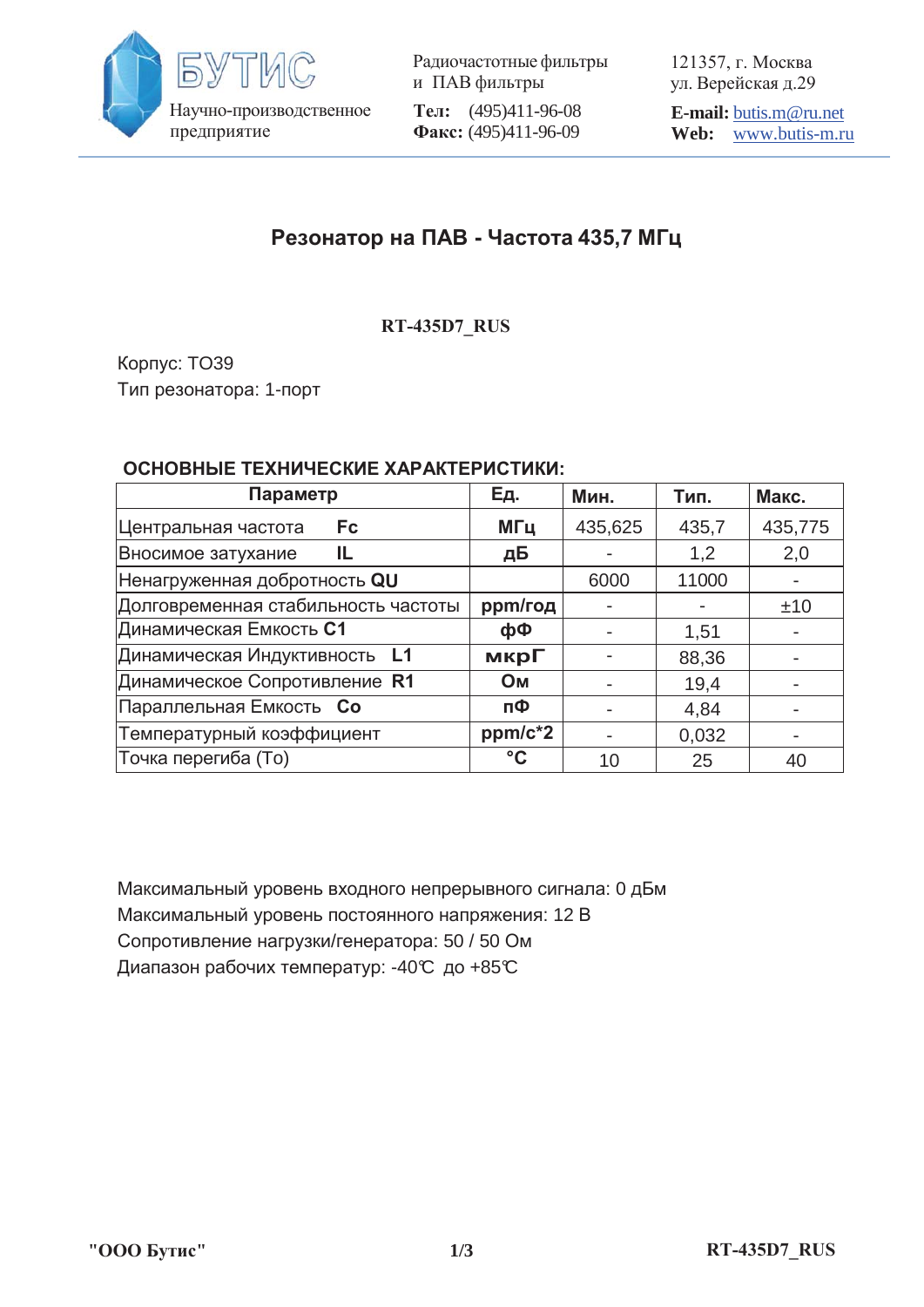

Радиочастотные фильтры и ПАВ фильтры **Тел:** (495)411-96-08 Факс: (495)411-96-09

121357, г. Москва ул. Верейская д.29

**E-mail:** butis.m@ru.net **Web:** www.butis-m.ru

# Резонатор на ПАВ - Частота 435,7 МГц

**RT-435D7\_RUS**

Корпус: TO39 Тип резонатора: 1-порт

#### ОСНОВНЫЕ ТЕХНИЧЕСКИЕ ХАРАКТЕРИСТИКИ:

| Параметр                            | Eд.       | Мин.    | Тип.  | Макс.   |
|-------------------------------------|-----------|---------|-------|---------|
| Центральная частота<br><b>Fc</b>    | МГц       | 435,625 | 435,7 | 435,775 |
| Вносимое затухание<br>IL            | дБ        |         | 1,2   | 2,0     |
| Ненагруженная добротность QU        |           | 6000    | 11000 |         |
| Долговременная стабильность частоты | ppm/год   |         |       | ±10     |
| Динамическая Емкость С1             | фФ        |         | 1,51  |         |
| Динамическая Индуктивность L1       | мкрГ      |         | 88,36 |         |
| Динамическое Сопротивление R1       | <b>OM</b> |         | 19,4  |         |
| Параллельная Емкость Со             | пФ        |         | 4,84  |         |
| Температурный коэффициент           | ppm/c*2   |         | 0,032 |         |
| Точка перегиба (То)                 | °C        | 10      | 25    | 40      |

Максимальный уровень входного непрерывного сигнала: 0 дБм Максимальный уровень постоянного напряжения: 12 В Сопротивление нагрузки/генератора: 50 / 50 Ом Диапазон рабочих температур: -40℃ до +85℃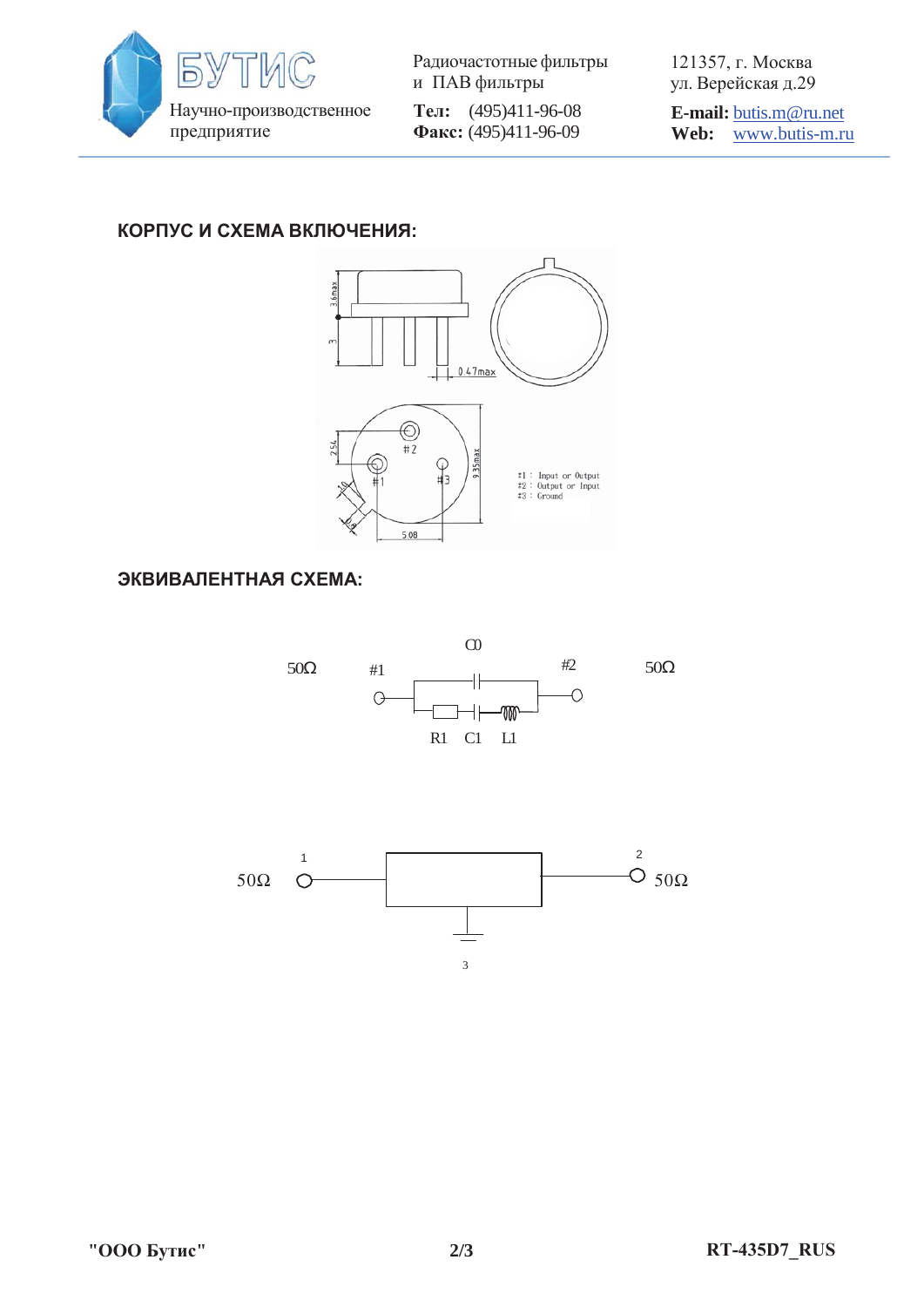

Радиочастотные фильтры и ПАВ фильтры **Тел:** (495)411-96-08 Φaκc: (495)411-96-09

121357, г. Москва ул. Верейская д.29

**E-mail:** butis.m@ru.net **Web:** www.butis-m.ru

### КОРПУС И СХЕМА ВКЛЮЧЕНИЯ:



#### ЭКВИВАЛЕНТНАЯ СХЕМА: